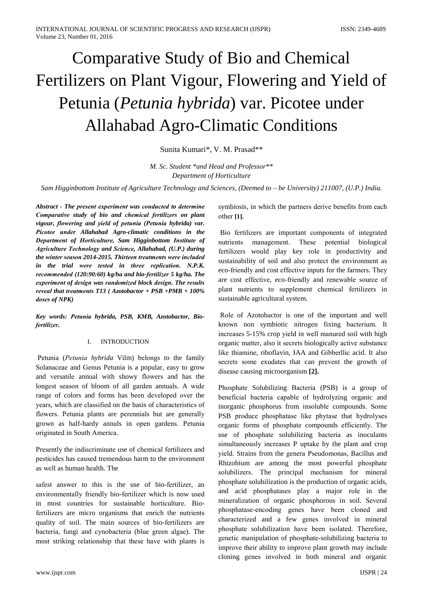# **Comparative Study of Bio and Chemical** Fertilizers on Plant Vigour, Flowering and Yield of Petunia (*Petunia hybrida*) var. Picotee under **Allahabad Agro-Climatic Conditions**

Sunita Kumari\*, V. M. Prasad\*\*

M. Sc. Student \*and Head and Professor\*\* Department of Horticulture

Sam Higginbottom Institute of Agriculture Technology and Sciences, (Deemed to – be University) 211007, (U.P.) India.

Abstract - The present experiment was conducted to determine Comparative study of bio and chemical fertilizers on plant vigour, flowering and vield of petunia (Petunia hybrida) var. Picotee under Allahabad Agro-climatic conditions in the Department of Horticulture, Sam Higginbottom Institute of Agriculture Technology and Science, Allahabad, (U.P.) during the winter season 2014-2015. Thirteen treatments were included in the trial were tested in three replication. N.P.K. recommended (120:90:60) kg/ha and bio-fertilizer 5 kg/ha. The experiment of design was randomized block design. The results reveal that treatments  $T13$  (Azotobactor +  $PSB$  + $PMB$  +  $100\%$ doses of NPK)

Key words: Petunia hybrida, PSB, KMB, Azotobactor, Biofertilizer.

#### **INTRODUCTION**  $\mathbf{I}$

Petunia (Petunia hybrida Vilm) belongs to the family Solanaceae and Genus Petunia is a popular, easy to grow and versatile annual with showy flowers and has the longest season of bloom of all garden annuals. A wide range of colors and forms has been developed over the years, which are classified on the basis of characteristics of flowers. Petunia plants are perennials but are generally grown as half-hardy annuls in open gardens. Petunia originated in South America.

Presently the indiscriminate use of chemical fertilizers and pesticides has caused tremendous harm to the environment as well as human health. The

safest answer to this is the use of bio-fertilizer, an environmentally friendly bio-fertilizer which is now used in most countries for sustainable horticulture. Biofertilizers are micro organisms that enrich the nutrients quality of soil. The main sources of bio-fertilizers are bacteria, fungi and cynobacteria (blue green algae). The most striking relationship that these have with plants is

symbiosis, in which the partners derive benefits from each other [1].

Bio fertilizers are important components of integrated These potential nutrients management. biological fertilizers would play key role in productivity and sustainability of soil and also protect the environment as eco-friendly and cost effective inputs for the farmers. They are cost effective, eco-friendly and renewable source of plant nutrients to supplement chemical fertilizers in sustainable agricultural system.

Role of Azotobactor is one of the important and well known non symbiotic nitrogen fixing bacterium. It increases 5-15% crop yield in well manured soil with high organic matter, also it secrets biologically active substance like thiamine, riboflavin, IAA and Gibberllic acid. It also secrets some exudates that can prevent the growth of disease causing microorganism [2].

Phosphate Solubilizing Bacteria (PSB) is a group of beneficial bacteria capable of hydrolyzing organic and inorganic phosphorus from insoluble compounds. Some PSB produce phosphatase like phytase that hydrolyses organic forms of phosphate compounds efficiently. The use of phosphate solubilizing bacteria as inoculants simultaneously increases P uptake by the plant and crop yield. Strains from the genera Pseudomonas, Bacillus and Rhizobium are among the most powerful phosphate solubilizers. The principal mechanism for mineral phosphate solubilization is the production of organic acids, and acid phosphatases play a major role in the mineralization of organic phosphorous in soil. Several phosphatase-encoding genes have been cloned and characterized and a few genes involved in mineral phosphate solubilization have been isolated. Therefore, genetic manipulation of phosphate-solubilizing bacteria to improve their ability to improve plant growth may include cloning genes involved in both mineral and organic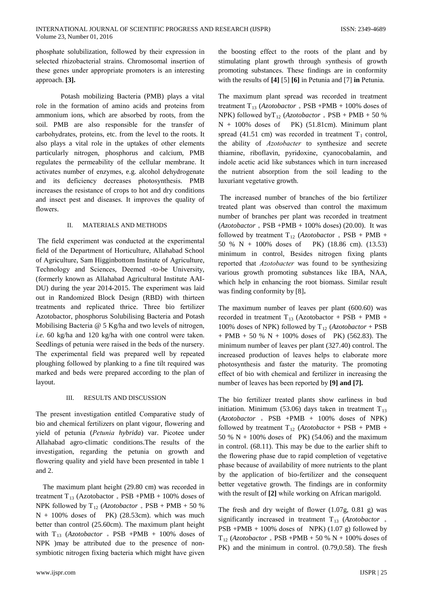phosphate solubilization, followed by their expression in selected rhizobacterial strains. Chromosomal insertion of these genes under appropriate promoters is an interesting approach. [3].

Potash mobilizing Bacteria (PMB) plays a vital role in the formation of amino acids and proteins from ammonium ions, which are absorbed by roots, from the soil. PMB are also responsible for the transfer of carbohydrates, proteins, etc. from the level to the roots. It also plays a vital role in the uptakes of other elements particularly nitrogen, phosphorus and calcium, PMB regulates the permeability of the cellular membrane. It activates number of enzymes, e.g. alcohol dehydrogenate and its deficiency decreases photosynthesis. PMB increases the resistance of crops to hot and dry conditions and insect pest and diseases. It improves the quality of flowers.

#### $\Pi$ . MATERIALS AND METHODS

The field experiment was conducted at the experimental field of the Department of Horticulture, Allahabad School of Agriculture, Sam Higginbottom Institute of Agriculture, Technology and Sciences, Deemed -to-be University, (formerly known as Allahabad Agricultural Institute AAI-DU) during the year 2014-2015. The experiment was laid out in Randomized Block Design (RBD) with thirteen treatments and replicated thrice. Three bio fertilizer Azotobactor, phosphorus Solubilising Bacteria and Potash Mobilising Bacteria @ 5 Kg/ha and two levels of nitrogen, i.e. 60 kg/ha and 120 kg/ha with one control were taken. Seedlings of petunia were raised in the beds of the nursery. The experimental field was prepared well by repeated ploughing followed by planking to a fine tilt required was marked and beds were prepared according to the plan of layout.

#### III. RESULTS AND DISCUSSION

The present investigation entitled Comparative study of bio and chemical fertilizers on plant vigour, flowering and yield of petunia (Petunia hybrida) var. Picotee under Allahabad agro-climatic conditions. The results of the investigation, regarding the petunia on growth and flowering quality and yield have been presented in table 1 and 2.

The maximum plant height (29.80 cm) was recorded in treatment  $T_{13}$  (Azotobactor + PSB +PMB + 100% doses of NPK followed by  $T_{12}$  (*Azotobactor* + PSB + PMB + 50 %  $N + 100\%$  doses of PK) (28.53cm). which was much better than control (25.60cm). The maximum plant height with  $T_{13}$  (Azotobactor + PSB +PMB + 100% doses of NPK ) may be attributed due to the presence of nonsymbiotic nitrogen fixing bacteria which might have given

www.ijspr.com

the boosting effect to the roots of the plant and by stimulating plant growth through synthesis of growth promoting substances. These findings are in conformity with the results of  $[4] [5] [6]$  in Petunia and  $[7]$  in Petunia.

The maximum plant spread was recorded in treatment treatment T<sub>13</sub> (Azotobactor + PSB + PMB + 100% doses of NPK) followed by  $T_{12}$  (Azotobactor  $_{+}$  PSB + PMB + 50 %  $N + 100\%$  doses of PK) (51.81cm). Minimum plant spread (41.51 cm) was recorded in treatment  $T_1$  control, the ability of Azotobacter to synthesize and secrete thiamine, riboflavin, pyridoxine, cyanocobalamin, and indole acetic acid like substances which in turn increased the nutrient absorption from the soil leading to the luxuriant vegetative growth.

The increased number of branches of the bio fertilizer treated plant was observed than control the maximum number of branches per plant was recorded in treatment  $(Azotobactor + PSB + PMB + 100\%$  doses) (20.00). It was followed by treatment  $T_{12}$  (*Azotobactor* + PSB + PMB + 50 % N + 100% doses of PK) (18.86 cm). (13.53) minimum in control, Besides nitrogen fixing plants reported that *Azotobacter* was found to be synthesizing various growth promoting substances like IBA, NAA, which help in enhancing the root biomass. Similar result was finding conformity by [8].

The maximum number of leaves per plant (600.60) was recorded in treatment  $T_{13}$  (Azotobactor + PSB + PMB + 100% doses of NPK) followed by  $T_{12}$  (*Azotobactor* + PSB + PMB + 50 % N + 100% doses of PK) (562.83). The minimum number of leaves per plant (327.40) control. The increased production of leaves helps to elaborate more photosynthesis and faster the maturity. The promoting effect of bio with chemical and fertilizer in increasing the number of leaves has been reported by [9] and [7].

The bio fertilizer treated plants show earliness in bud initiation. Minimum (53.06) days taken in treatment  $T_{13}$  $(Azotobactor + PSB + PMB + 100\%$  doses of NPK) followed by treatment  $T_{12}$  (Azotobactor + PSB + PMB + 50 %  $N + 100\%$  doses of PK) (54.06) and the maximum in control. (68.11). This may be due to the earlier shift to the flowering phase due to rapid completion of vegetative phase because of availability of more nutrients to the plant by the application of bio-fertilizer and the consequent better vegetative growth. The findings are in conformity with the result of [2] while working on African marigold.

The fresh and dry weight of flower  $(1.07g, 0.81g)$  was significantly increased in treatment  $T_{13}$  (Azotobactor  $_{+}$ PSB +PMB + 100% doses of NPK)  $(1.07 \text{ g})$  followed by  $T_{12}$  (Azotobactor + PSB +PMB + 50 % N + 100% doses of PK) and the minimum in control. (0.79,0.58). The fresh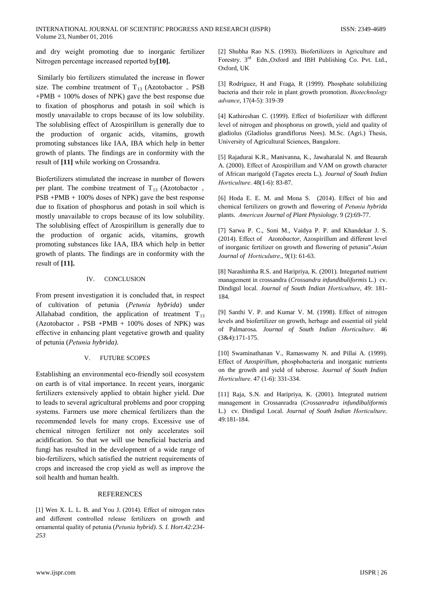and dry weight promoting due to inorganic fertilizer Nitrogen percentage increased reported by[10].

Similarly bio fertilizers stimulated the increase in flower size. The combine treatment of  $T_{13}$  (Azotobactor  $_{+}$  PSB  $+PMB + 100\%$  doses of NPK) gave the best response due to fixation of phosphorus and potash in soil which is mostly unavailable to crops because of its low solubility. The solublising effect of Azospirillum is generally due to the production of organic acids, vitamins, growth promoting substances like IAA, IBA which help in better growth of plants. The findings are in conformity with the result of [11] while working on Crossandra.

Biofertilizers stimulated the increase in number of flowers per plant. The combine treatment of  $T_{13}$  (Azotobactor  $_{+}$ PSB +PMB + 100% doses of NPK) gave the best response due to fixation of phosphorus and potash in soil which is mostly unavailable to crops because of its low solubility. The solublising effect of Azospirillum is generally due to the production of organic acids, vitamins, growth promoting substances like IAA, IBA which help in better growth of plants. The findings are in conformity with the result of [11].

#### IV. **CONCLUSION**

From present investigation it is concluded that, in respect of cultivation of petunia (Petunia hybrida) under Allahabad condition, the application of treatment  $T_{13}$  $(Azotobactor + PSB + PMB + 100\%$  doses of NPK) was effective in enhancing plant vegetative growth and quality of petunia (Petunia hybrida).

### V. FUTURE SCOPES

Establishing an environmental eco-friendly soil ecosystem on earth is of vital importance. In recent years, inorganic fertilizers extensively applied to obtain higher yield. Due to leads to several agricultural problems and poor cropping systems. Farmers use more chemical fertilizers than the recommended levels for many crops. Excessive use of chemical nitrogen fertilizer not only accelerates soil acidification. So that we will use beneficial bacteria and fungi has resulted in the development of a wide range of bio-fertilizers, which satisfied the nutrient requirements of crops and increased the crop yield as well as improve the soil health and human health.

## **REFERENCES**

[1] Wen X. L. L. B. and You J. (2014). Effect of nitrogen rates and different controlled release fertilizers on growth and ornamental quality of petunia (Petunia hybrid). S. I. Hort.42:234-253

[2] Shubha Rao N.S. (1993). Biofertilizers in Agriculture and Forestry. 3<sup>rd</sup> Edn., Oxford and IBH Publishing Co. Pvt. Ltd., Oxford, UK

[3] Rodríguez, H and Fraga, R (1999). Phosphate solubilizing bacteria and their role in plant growth promotion. Biotechnology advance, 17(4-5): 319-39

[4] Kathireshan C. (1999). Effect of biofertilizer with different level of nitrogen and phosphorus on growth, yield and quality of gladiolus (Gladiolus grandiflorus Nees). M.Sc. (Agri.) Thesis, University of Agricultural Sciences, Bangalore.

[5] Rajadurai K.R., Manivanna, K., Jawaharalal N. and Beaurah A. (2000). Effect of Azospirillum and VAM on growth character of African marigold (Tagetes erecta L.). Journal of South Indian Horticulture. 48(1-6): 83-87.

[6] Hoda E. E. M. and Mona S. (2014). Effect of bio and chemical fertilizers on growth and flowering of Petunia hybrida plants. American Journal of Plant Physiology. 9 (2):69-77.

[7] Sarwa P. C., Soni M., Vaidya P. P. and Khandekar J. S. (2014). Effect of Azotobactor, Azospirillum and different level of inorganic fertilizer on growth and flowering of petunia".Asian Journal of Horticulutre., 9(1): 61-63.

[8] Narashimha R.S. and Haripriya, K. (2001). Integarted nutrient management in crossandra (Crossandra infundibuliformis L.) cv. Dindigul local. Journal of South Indian Horticulture, 49: 181-184.

[9] Santhi V. P. and Kumar V. M. (1998). Effect of nitrogen levels and biofertilizer on growth, herbage and essential oil yield of Palmarosa. Journal of South Indian Horticulture. 46  $(3&4):171-175.$ 

[10] Swaminathanan V., Ramaswamy N. and Pillai A. (1999). Effect of Azospirillum, phosphobacteria and inorganic nutrients on the growth and yield of tuberose. Journal of South Indian Horticulture. 47 (1-6): 331-334.

[11] Raja, S.N. and Haripriya, K. (2001). Integrated nutrient management in Crossanradra (Crossanradra infundibuliformis L.) cv. Dindigul Local. Journal of South Indian Horticulture. 49:181-184.